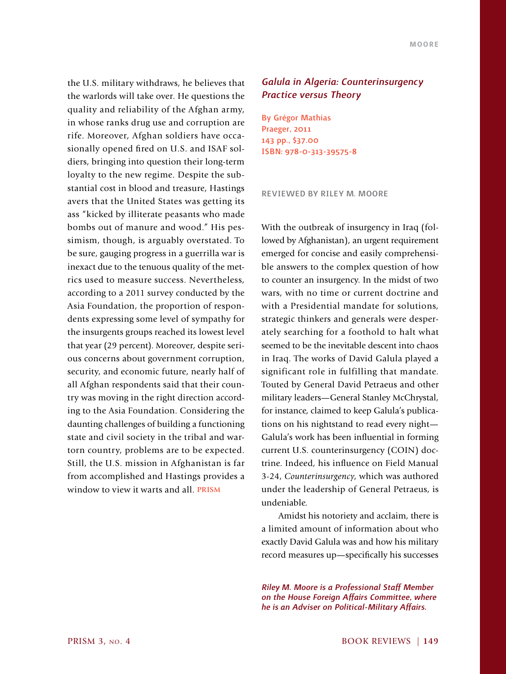the U.S. military withdraws, he believes that the warlords will take over. He questions the quality and reliability of the Afghan army, in whose ranks drug use and corruption are rife. Moreover, Afghan soldiers have occasionally opened fired on U.S. and ISAF soldiers, bringing into question their long-term loyalty to the new regime. Despite the substantial cost in blood and treasure, Hastings avers that the United States was getting its ass "kicked by illiterate peasants who made bombs out of manure and wood." His pessimism, though, is arguably overstated. To be sure, gauging progress in a guerrilla war is inexact due to the tenuous quality of the metrics used to measure success. Nevertheless, according to a 2011 survey conducted by the Asia Foundation, the proportion of respondents expressing some level of sympathy for the insurgents groups reached its lowest level that year (29 percent). Moreover, despite serious concerns about government corruption, security, and economic future, nearly half of all Afghan respondents said that their country was moving in the right direction according to the Asia Foundation. Considering the daunting challenges of building a functioning state and civil society in the tribal and wartorn country, problems are to be expected. Still, the U.S. mission in Afghanistan is far from accomplished and Hastings provides a window to view it warts and all. **PRISM**

## *Galula in Algeria: Counterinsurgency Practice versus Theory*

By Grégor Mathias Praeger, 2011 143 pp., \$37.00 ISBN: 978-0-313-39575-8

Reviewed by Riley M. Moore

With the outbreak of insurgency in Iraq (followed by Afghanistan), an urgent requirement emerged for concise and easily comprehensible answers to the complex question of how to counter an insurgency. In the midst of two wars, with no time or current doctrine and with a Presidential mandate for solutions, strategic thinkers and generals were desperately searching for a foothold to halt what seemed to be the inevitable descent into chaos in Iraq. The works of David Galula played a significant role in fulfilling that mandate. Touted by General David Petraeus and other military leaders—General Stanley McChrystal, for instance, claimed to keep Galula's publications on his nightstand to read every night— Galula's work has been influential in forming current U.S. counterinsurgency (COIN) doctrine. Indeed, his influence on Field Manual 3-24, *Counterinsurgency*, which was authored under the leadership of General Petraeus, is undeniable.

Amidst his notoriety and acclaim, there is a limited amount of information about who exactly David Galula was and how his military record measures up—specifically his successes

*Riley M. Moore is a Professional Staff Member on the House Foreign Affairs Committee, where he is an Adviser on Political-Military Affairs.*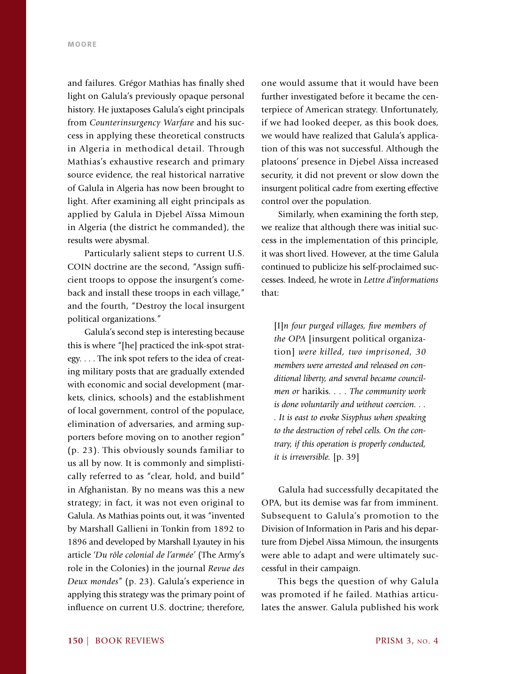and failures. Grégor Mathias has finally shed light on Galula's previously opaque personal history. He juxtaposes Galula's eight principals from *Counterinsurgency Warfare* and his success in applying these theoretical constructs in Algeria in methodical detail. Through Mathias's exhaustive research and primary source evidence, the real historical narrative of Galula in Algeria has now been brought to light. After examining all eight principals as applied by Galula in Djebel Aïssa Mimoun in Algeria (the district he commanded), the results were abysmal.

Particularly salient steps to current U.S. COIN doctrine are the second, "Assign sufficient troops to oppose the insurgent's comeback and install these troops in each village," and the fourth, "Destroy the local insurgent political organizations."

Galula's second step is interesting because this is where "[he] practiced the ink-spot strategy. . . . The ink spot refers to the idea of creating military posts that are gradually extended with economic and social development (markets, clinics, schools) and the establishment of local government, control of the populace, elimination of adversaries, and arming supporters before moving on to another region" (p. 23). This obviously sounds familiar to us all by now. It is commonly and simplistically referred to as "clear, hold, and build" in Afghanistan. By no means was this a new strategy; in fact, it was not even original to Galula. As Mathias points out, it was "invented by Marshall Gallieni in Tonkin from 1892 to 1896 and developed by Marshall Lyautey in his article '*Du rôle colonial de l'armée*' (The Army's role in the Colonies) in the journal *Revue des Deux mondes*" (p. 23). Galula's experience in applying this strategy was the primary point of influence on current U.S. doctrine; therefore,

one would assume that it would have been further investigated before it became the centerpiece of American strategy. Unfortunately, if we had looked deeper, as this book does, we would have realized that Galula's application of this was not successful. Although the platoons' presence in Djebel Aïssa increased security, it did not prevent or slow down the insurgent political cadre from exerting effective control over the population.

Similarly, when examining the forth step, we realize that although there was initial success in the implementation of this principle, it was short lived. However, at the time Galula continued to publicize his self-proclaimed successes. Indeed, he wrote in *Lettre d'informations* that:

[I]*n four purged villages, five members of the OPA* [insurgent political organization] *were killed, two imprisoned, 30 members were arrested and released on conditional liberty, and several became councilmen or* harikis*. . . . The community work is done voluntarily and without coercion. . . . It is east to evoke Sisyphus when speaking to the destruction of rebel cells. On the contrary, if this operation is properly conducted, it is irreversible.* [p. 39]

Galula had successfully decapitated the OPA, but its demise was far from imminent. Subsequent to Galula's promotion to the Division of Information in Paris and his departure from Djebel Aïssa Mimoun, the insurgents were able to adapt and were ultimately successful in their campaign.

This begs the question of why Galula was promoted if he failed. Mathias articulates the answer. Galula published his work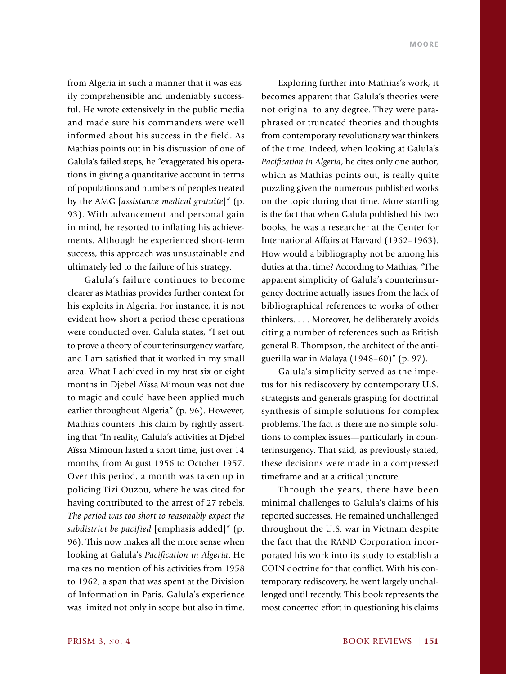from Algeria in such a manner that it was easily comprehensible and undeniably successful. He wrote extensively in the public media and made sure his commanders were well informed about his success in the field. As Mathias points out in his discussion of one of Galula's failed steps, he "exaggerated his operations in giving a quantitative account in terms of populations and numbers of peoples treated by the AMG [*assistance medical gratuite*]" (p. 93). With advancement and personal gain in mind, he resorted to inflating his achievements. Although he experienced short-term success, this approach was unsustainable and ultimately led to the failure of his strategy.

Galula's failure continues to become clearer as Mathias provides further context for his exploits in Algeria. For instance, it is not evident how short a period these operations were conducted over. Galula states, "I set out to prove a theory of counterinsurgency warfare, and I am satisfied that it worked in my small area. What I achieved in my first six or eight months in Djebel Aïssa Mimoun was not due to magic and could have been applied much earlier throughout Algeria" (p. 96). However, Mathias counters this claim by rightly asserting that "In reality, Galula's activities at Djebel Aïssa Mimoun lasted a short time, just over 14 months, from August 1956 to October 1957. Over this period, a month was taken up in policing Tizi Ouzou, where he was cited for having contributed to the arrest of 27 rebels. *The period was too short to reasonably expect the subdistrict be pacified* [emphasis added]" (p. 96). This now makes all the more sense when looking at Galula's *Pacification in Algeria*. He makes no mention of his activities from 1958 to 1962, a span that was spent at the Division of Information in Paris. Galula's experience was limited not only in scope but also in time.

Exploring further into Mathias's work, it becomes apparent that Galula's theories were not original to any degree. They were paraphrased or truncated theories and thoughts from contemporary revolutionary war thinkers of the time. Indeed, when looking at Galula's *Pacification in Algeria*, he cites only one author, which as Mathias points out, is really quite puzzling given the numerous published works on the topic during that time. More startling is the fact that when Galula published his two books, he was a researcher at the Center for International Affairs at Harvard (1962–1963). How would a bibliography not be among his duties at that time? According to Mathias, "The apparent simplicity of Galula's counterinsurgency doctrine actually issues from the lack of bibliographical references to works of other thinkers. . . . Moreover, he deliberately avoids citing a number of references such as British general R. Thompson, the architect of the antiguerilla war in Malaya (1948–60)" (p. 97).

Galula's simplicity served as the impetus for his rediscovery by contemporary U.S. strategists and generals grasping for doctrinal synthesis of simple solutions for complex problems. The fact is there are no simple solutions to complex issues—particularly in counterinsurgency. That said, as previously stated, these decisions were made in a compressed timeframe and at a critical juncture.

Through the years, there have been minimal challenges to Galula's claims of his reported successes. He remained unchallenged throughout the U.S. war in Vietnam despite the fact that the RAND Corporation incorporated his work into its study to establish a COIN doctrine for that conflict. With his contemporary rediscovery, he went largely unchallenged until recently. This book represents the most concerted effort in questioning his claims